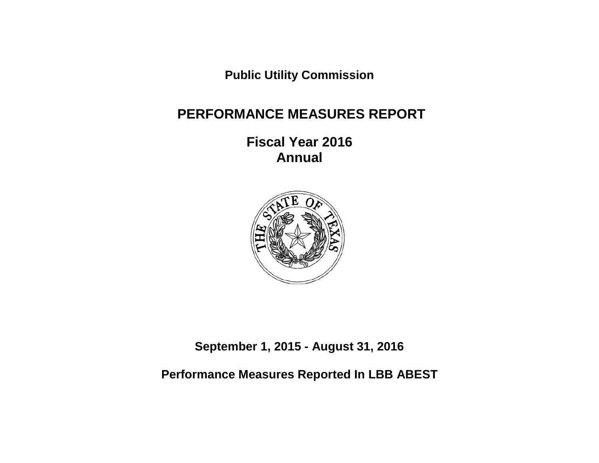**Public Utility Commission**

# **PERFORMANCE MEASURES REPORT**

**Fiscal Year 2016 Annual**



**September 1, 2015 - August 31, 2016**

**Performance Measures Reported In LBB ABEST**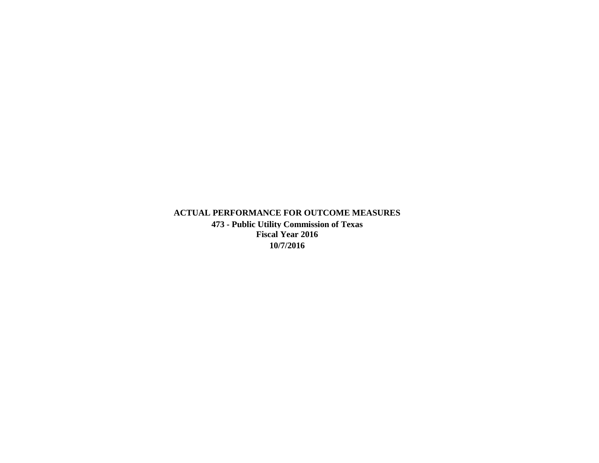**ACTUAL PERFORMANCE FOR OUTCOME MEASURES 473 - Public Utility Commission of Texas Fiscal Year 2016 10/7/2016**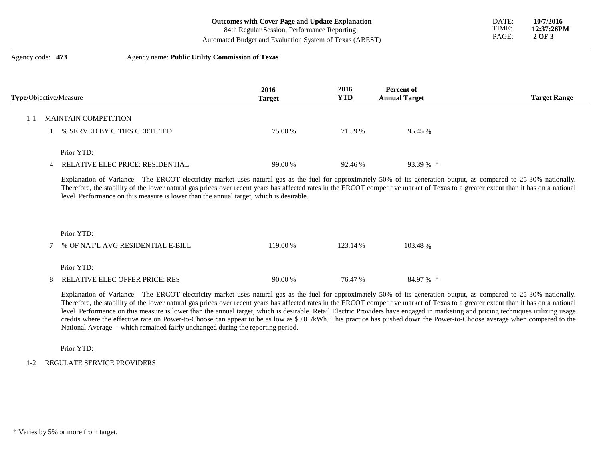84th Regular Session, Performance Reporting

Automated Budget and Evaluation System of Texas (ABEST)

#### Agency code: **473** Agency name: **Public Utility Commission of Texas**

| <b>Type/Objective/Measure</b> |                                  | 2016<br><b>Target</b> | 2016<br>YTD | Percent of<br><b>Annual Target</b> | <b>Target Range</b> |
|-------------------------------|----------------------------------|-----------------------|-------------|------------------------------------|---------------------|
|                               | <b>MAINTAIN COMPETITION</b>      |                       |             |                                    |                     |
|                               | % SERVED BY CITIES CERTIFIED     | 75.00 %               | 71.59 %     | 95.45 %                            |                     |
|                               | Prior YTD:                       |                       |             |                                    |                     |
|                               | RELATIVE ELEC PRICE: RESIDENTIAL | 99.00 %               | 92.46 %     | $93.39\%$ *                        |                     |

Explanation of Variance: The ERCOT electricity market uses natural gas as the fuel for approximately 50% of its generation output, as compared to 25-30% nationally. Therefore, the stability of the lower natural gas prices over recent years has affected rates in the ERCOT competitive market of Texas to a greater extent than it has on a national level. Performance on this measure is lower than the annual target, which is desirable.

#### Prior YTD:

| 7 % OF NAT'L AVG RESIDENTIAL E-BILL. | 119.00 %  | 123.14 % | 103.48 %    |
|--------------------------------------|-----------|----------|-------------|
| Prior YTD:                           |           |          |             |
| 8 RELATIVE ELEC OFFER PRICE: RES     | $90.00\%$ | 76.47 %  | $84.97\%$ * |

Explanation of Variance: The ERCOT electricity market uses natural gas as the fuel for approximately 50% of its generation output, as compared to 25-30% nationally. Therefore, the stability of the lower natural gas prices over recent years has affected rates in the ERCOT competitive market of Texas to a greater extent than it has on a national level. Performance on this measure is lower than the annual target, which is desirable. Retail Electric Providers have engaged in marketing and pricing techniques utilizing usage credits where the effective rate on Power-to-Choose can appear to be as low as \$0.01/kWh. This practice has pushed down the Power-to-Choose average when compared to the National Average -- which remained fairly unchanged during the reporting period.

#### Prior YTD:

## 1-2 REGULATE SERVICE PROVIDERS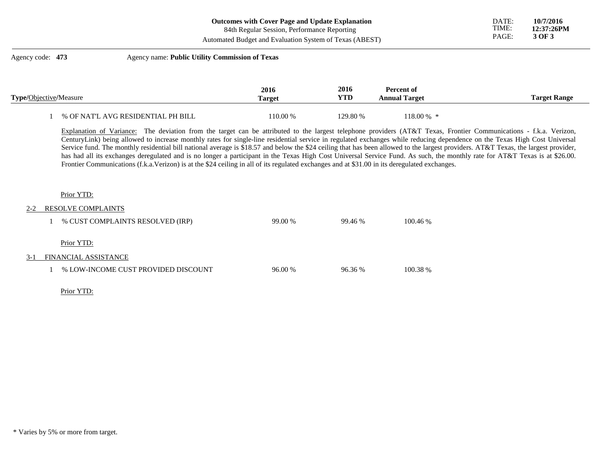| <b>Outcomes with Cover Page and Update Explanation</b> |  |
|--------------------------------------------------------|--|
|--------------------------------------------------------|--|

84th Regular Session, Performance Reporting

Automated Budget and Evaluation System of Texas (ABEST)

## Agency code: **473** Agency name: **Public Utility Commission of Texas**

| Type/Objective/Measure             | 2016<br><b>Target</b> | 2016<br>YTD | Percent of<br><b>Annual Target</b> | <b>Target Range</b> |
|------------------------------------|-----------------------|-------------|------------------------------------|---------------------|
| % OF NAT'L AVG RESIDENTIAL PH BILL | 110.00%               | 129.80 %    | 118.00 % *                         |                     |

Explanation of Variance: The deviation from the target can be attributed to the largest telephone providers (AT&T Texas, Frontier Communications - f.k.a. Verizon, CenturyLink) being allowed to increase monthly rates for single-line residential service in regulated exchanges while reducing dependence on the Texas High Cost Universal Service fund. The monthly residential bill national average is \$18.57 and below the \$24 ceiling that has been allowed to the largest providers. AT&T Texas, the largest provider, has had all its exchanges deregulated and is no longer a participant in the Texas High Cost Universal Service Fund. As such, the monthly rate for AT&T Texas is at \$26.00. Frontier Communications (f.k.a.Verizon) is at the \$24 ceiling in all of its regulated exchanges and at \$31.00 in its deregulated exchanges.

#### Prior YTD:

#### 2-2 RESOLVE COMPLAINTS

|       | % CUST COMPLAINTS RESOLVED (IRP)    | 99.00 % | 99.46 % | 100.46 % |
|-------|-------------------------------------|---------|---------|----------|
|       | Prior YTD:                          |         |         |          |
| $3-1$ | FINANCIAL ASSISTANCE                |         |         |          |
|       | % LOW-INCOME CUST PROVIDED DISCOUNT | 96.00%  | 96.36 % | 100.38 % |

#### Prior YTD: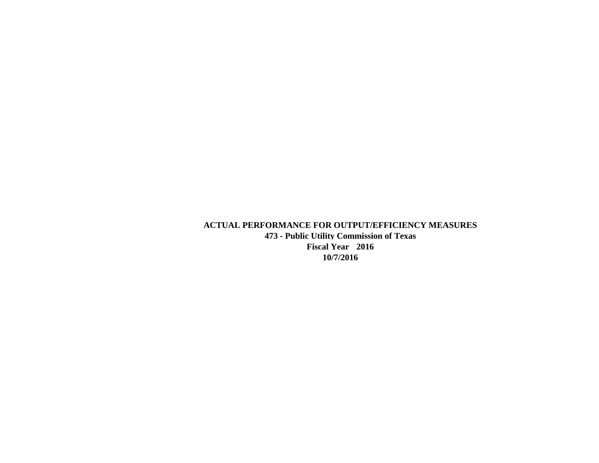**ACTUAL PERFORMANCE FOR OUTPUT/EFFICIENCY MEASURES 473 - Public Utility Commission of Texas Fiscal Year 2016 10/7/2016**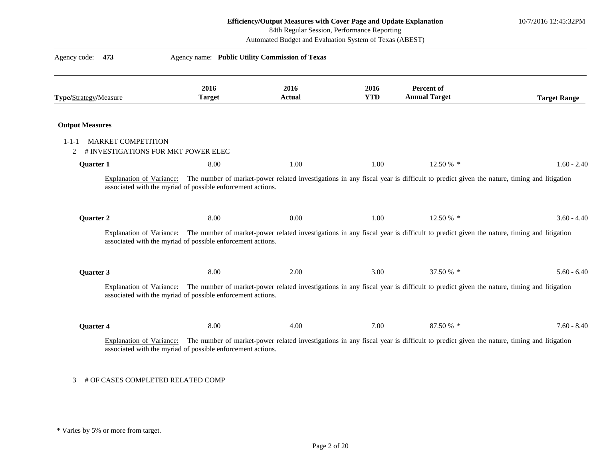10/7/2016 12:45:32PM

84th Regular Session, Performance Reporting

|                                          | 2016                                                                                                                                                                                                                         | 2016          | 2016       | <b>Percent of</b>                                                                                                                    |                     |
|------------------------------------------|------------------------------------------------------------------------------------------------------------------------------------------------------------------------------------------------------------------------------|---------------|------------|--------------------------------------------------------------------------------------------------------------------------------------|---------------------|
| Type/Strategy/Measure                    | <b>Target</b>                                                                                                                                                                                                                | <b>Actual</b> | <b>YTD</b> | <b>Annual Target</b>                                                                                                                 | <b>Target Range</b> |
| <b>Output Measures</b>                   |                                                                                                                                                                                                                              |               |            |                                                                                                                                      |                     |
| <b>MARKET COMPETITION</b><br>$1 - 1 - 1$ |                                                                                                                                                                                                                              |               |            |                                                                                                                                      |                     |
| 2                                        | # INVESTIGATIONS FOR MKT POWER ELEC                                                                                                                                                                                          |               |            |                                                                                                                                      |                     |
| Quarter 1                                | 8.00                                                                                                                                                                                                                         | 1.00          | 1.00       | 12.50 % *                                                                                                                            | $1.60 - 2.40$       |
|                                          | associated with the myriad of possible enforcement actions.                                                                                                                                                                  |               |            |                                                                                                                                      |                     |
| Quarter 2                                | 8.00                                                                                                                                                                                                                         | 0.00          | 1.00       | 12.50 % *                                                                                                                            | $3.60 - 4.40$       |
|                                          | Explanation of Variance: The number of market-power related investigations in any fiscal year is difficult to predict given the nature, timing and litigation<br>associated with the myriad of possible enforcement actions. |               |            |                                                                                                                                      |                     |
| Quarter 3                                | 8.00                                                                                                                                                                                                                         | 2.00          | 3.00       | 37.50 % *                                                                                                                            | $5.60 - 6.40$       |
| <b>Explanation of Variance:</b>          | associated with the myriad of possible enforcement actions.                                                                                                                                                                  |               |            | The number of market-power related investigations in any fiscal year is difficult to predict given the nature, timing and litigation |                     |
| Quarter 4                                | 8.00                                                                                                                                                                                                                         | 4.00          | 7.00       | 87.50 % *                                                                                                                            | $7.60 - 8.40$       |
| Explanation of Variance:                 | associated with the myriad of possible enforcement actions.                                                                                                                                                                  |               |            | The number of market-power related investigations in any fiscal year is difficult to predict given the nature, timing and litigation |                     |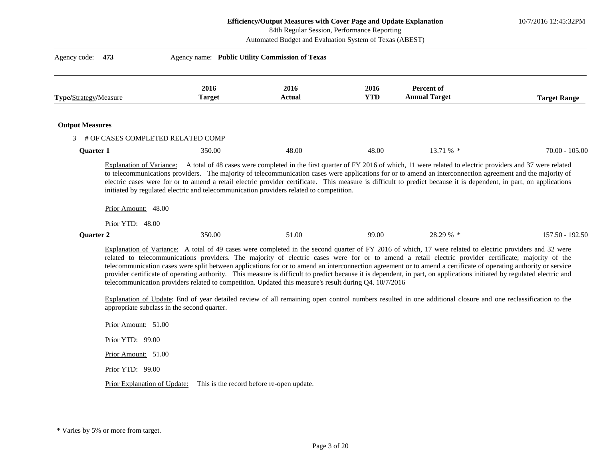10/7/2016 12:45:32PM

84th Regular Session, Performance Reporting

| Agency code: 473       | Agency name: Public Utility Commission of Texas |                       |                                                                                                        |                    |                                                                                                                                                                                                                                                                                                                                                                                                                                                                                                                                                                                                                                                                                                                                                                                                                                |                     |  |  |
|------------------------|-------------------------------------------------|-----------------------|--------------------------------------------------------------------------------------------------------|--------------------|--------------------------------------------------------------------------------------------------------------------------------------------------------------------------------------------------------------------------------------------------------------------------------------------------------------------------------------------------------------------------------------------------------------------------------------------------------------------------------------------------------------------------------------------------------------------------------------------------------------------------------------------------------------------------------------------------------------------------------------------------------------------------------------------------------------------------------|---------------------|--|--|
| Type/Strategy/Measure  |                                                 | 2016<br><b>Target</b> | 2016<br>Actual                                                                                         | 2016<br><b>YTD</b> | Percent of<br><b>Annual Target</b>                                                                                                                                                                                                                                                                                                                                                                                                                                                                                                                                                                                                                                                                                                                                                                                             | <b>Target Range</b> |  |  |
| <b>Output Measures</b> |                                                 |                       |                                                                                                        |                    |                                                                                                                                                                                                                                                                                                                                                                                                                                                                                                                                                                                                                                                                                                                                                                                                                                |                     |  |  |
|                        | 3 # OF CASES COMPLETED RELATED COMP             |                       |                                                                                                        |                    |                                                                                                                                                                                                                                                                                                                                                                                                                                                                                                                                                                                                                                                                                                                                                                                                                                |                     |  |  |
| <b>Ouarter 1</b>       |                                                 | 350.00                | 48.00                                                                                                  | 48.00              | 13.71 % *                                                                                                                                                                                                                                                                                                                                                                                                                                                                                                                                                                                                                                                                                                                                                                                                                      | $70.00 - 105.00$    |  |  |
|                        | Prior Amount: 48.00                             |                       | initiated by regulated electric and telecommunication providers related to competition.                |                    | to telecommunications providers. The majority of telecommunication cases were applications for or to amend an interconnection agreement and the majority of<br>electric cases were for or to amend a retail electric provider certificate. This measure is difficult to predict because it is dependent, in part, on applications                                                                                                                                                                                                                                                                                                                                                                                                                                                                                              |                     |  |  |
|                        | Prior YTD: 48.00                                |                       |                                                                                                        |                    |                                                                                                                                                                                                                                                                                                                                                                                                                                                                                                                                                                                                                                                                                                                                                                                                                                |                     |  |  |
| Quarter 2              |                                                 | 350.00                | 51.00                                                                                                  | 99.00              | 28.29 % *                                                                                                                                                                                                                                                                                                                                                                                                                                                                                                                                                                                                                                                                                                                                                                                                                      | 157.50 - 192.50     |  |  |
|                        | appropriate subclass in the second quarter.     |                       | telecommunication providers related to competition. Updated this measure's result during Q4. 10/7/2016 |                    | Explanation of Variance: A total of 49 cases were completed in the second quarter of FY 2016 of which, 17 were related to electric providers and 32 were<br>related to telecommunications providers. The majority of electric cases were for or to amend a retail electric provider certificate; majority of the<br>telecommunication cases were split between applications for or to amend an interconnection agreement or to amend a certificate of operating authority or service<br>provider certificate of operating authority. This measure is difficult to predict because it is dependent, in part, on applications initiated by regulated electric and<br>Explanation of Update: End of year detailed review of all remaining open control numbers resulted in one additional closure and one reclassification to the |                     |  |  |
|                        | Prior Amount: 51.00                             |                       |                                                                                                        |                    |                                                                                                                                                                                                                                                                                                                                                                                                                                                                                                                                                                                                                                                                                                                                                                                                                                |                     |  |  |
|                        | Prior YTD: 99.00                                |                       |                                                                                                        |                    |                                                                                                                                                                                                                                                                                                                                                                                                                                                                                                                                                                                                                                                                                                                                                                                                                                |                     |  |  |
|                        | Prior Amount: 51.00                             |                       |                                                                                                        |                    |                                                                                                                                                                                                                                                                                                                                                                                                                                                                                                                                                                                                                                                                                                                                                                                                                                |                     |  |  |
|                        | Prior YTD: 99.00                                |                       |                                                                                                        |                    |                                                                                                                                                                                                                                                                                                                                                                                                                                                                                                                                                                                                                                                                                                                                                                                                                                |                     |  |  |
|                        | Prior Explanation of Update:                    |                       | This is the record before re-open update.                                                              |                    |                                                                                                                                                                                                                                                                                                                                                                                                                                                                                                                                                                                                                                                                                                                                                                                                                                |                     |  |  |

<sup>\*</sup> Varies by 5% or more from target.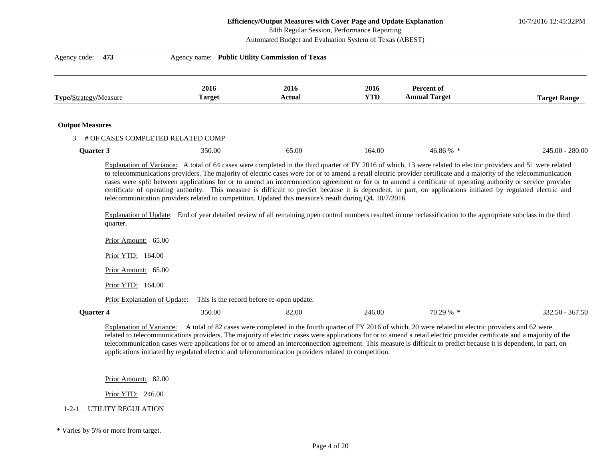10/7/2016 12:45:32PM

84th Regular Session, Performance Reporting

Automated Budget and Evaluation System of Texas (ABEST)

| Automated Budget and Evaluation System of Texas (ABEST) |                                                                                                  |                                                                                                        |                                           |                    |                                                                                                                                                                                                                                                                                                                                                                                                                                                                                                                                                                                                                                                                                                                                                                                                                                                  |                     |  |
|---------------------------------------------------------|--------------------------------------------------------------------------------------------------|--------------------------------------------------------------------------------------------------------|-------------------------------------------|--------------------|--------------------------------------------------------------------------------------------------------------------------------------------------------------------------------------------------------------------------------------------------------------------------------------------------------------------------------------------------------------------------------------------------------------------------------------------------------------------------------------------------------------------------------------------------------------------------------------------------------------------------------------------------------------------------------------------------------------------------------------------------------------------------------------------------------------------------------------------------|---------------------|--|
| Agency code:                                            | 473                                                                                              | Agency name: Public Utility Commission of Texas                                                        |                                           |                    |                                                                                                                                                                                                                                                                                                                                                                                                                                                                                                                                                                                                                                                                                                                                                                                                                                                  |                     |  |
| Type/Strategy/Measure                                   |                                                                                                  | 2016<br><b>Target</b>                                                                                  | 2016<br><b>Actual</b>                     | 2016<br><b>YTD</b> | Percent of<br><b>Annual Target</b>                                                                                                                                                                                                                                                                                                                                                                                                                                                                                                                                                                                                                                                                                                                                                                                                               | <b>Target Range</b> |  |
| <b>Output Measures</b>                                  |                                                                                                  |                                                                                                        |                                           |                    |                                                                                                                                                                                                                                                                                                                                                                                                                                                                                                                                                                                                                                                                                                                                                                                                                                                  |                     |  |
| 3                                                       | # OF CASES COMPLETED RELATED COMP                                                                |                                                                                                        |                                           |                    |                                                                                                                                                                                                                                                                                                                                                                                                                                                                                                                                                                                                                                                                                                                                                                                                                                                  |                     |  |
| <b>Ouarter 3</b>                                        |                                                                                                  | 350.00                                                                                                 | 65.00                                     | 164.00             | 46.86 % *                                                                                                                                                                                                                                                                                                                                                                                                                                                                                                                                                                                                                                                                                                                                                                                                                                        | $245.00 - 280.00$   |  |
|                                                         | quarter.<br>Prior Amount: 65.00<br>Prior YTD: 164.00<br>Prior Amount: 65.00<br>Prior YTD: 164.00 | telecommunication providers related to competition. Updated this measure's result during Q4. 10/7/2016 |                                           |                    | Explanation of Variance: A total of 64 cases were completed in the third quarter of FY 2016 of which, 13 were related to electric providers and 51 were related<br>to telecommunications providers. The majority of electric cases were for or to amend a retail electric provider certificate and a majority of the telecommunication<br>cases were split between applications for or to amend an interconnection agreement or for or to amend a certificate of operating authority or service provider<br>certificate of operating authority. This measure is difficult to predict because it is dependent, in part, on applications initiated by regulated electric and<br>Explanation of Update: End of year detailed review of all remaining open control numbers resulted in one reclassification to the appropriate subclass in the third |                     |  |
|                                                         | Prior Explanation of Update:                                                                     |                                                                                                        | This is the record before re-open update. |                    |                                                                                                                                                                                                                                                                                                                                                                                                                                                                                                                                                                                                                                                                                                                                                                                                                                                  |                     |  |
| Quarter 4                                               |                                                                                                  | 350.00                                                                                                 | 82.00                                     | 246.00             | 70.29 % *                                                                                                                                                                                                                                                                                                                                                                                                                                                                                                                                                                                                                                                                                                                                                                                                                                        | $332.50 - 367.50$   |  |
|                                                         |                                                                                                  | applications initiated by regulated electric and telecommunication providers related to competition.   |                                           |                    | Explanation of Variance: A total of 82 cases were completed in the fourth quarter of FY 2016 of which, 20 were related to electric providers and 62 were<br>related to telecommunications providers. The majority of electric cases were applications for or to amend a retail electric provider certificate and a majority of the<br>telecommunication cases were applications for or to amend an interconnection agreement. This measure is difficult to predict because it is dependent, in part, on                                                                                                                                                                                                                                                                                                                                          |                     |  |
|                                                         | Prior Amount: 82.00                                                                              |                                                                                                        |                                           |                    |                                                                                                                                                                                                                                                                                                                                                                                                                                                                                                                                                                                                                                                                                                                                                                                                                                                  |                     |  |
|                                                         | Prior YTD: 246.00                                                                                |                                                                                                        |                                           |                    |                                                                                                                                                                                                                                                                                                                                                                                                                                                                                                                                                                                                                                                                                                                                                                                                                                                  |                     |  |

1-2-1 UTILITY REGULATION

\* Varies by 5% or more from target.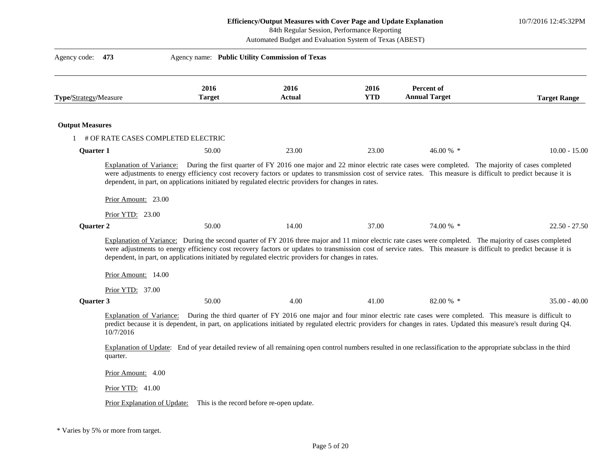10/7/2016 12:45:32PM

84th Regular Session, Performance Reporting

| Agency code:           | 473                                | Agency name: Public Utility Commission of Texas                                                     |                                           |                    |                                                                                                                                                                                                                                                                                                                                |                     |
|------------------------|------------------------------------|-----------------------------------------------------------------------------------------------------|-------------------------------------------|--------------------|--------------------------------------------------------------------------------------------------------------------------------------------------------------------------------------------------------------------------------------------------------------------------------------------------------------------------------|---------------------|
| Type/Strategy/Measure  |                                    | 2016<br><b>Target</b>                                                                               | 2016<br>Actual                            | 2016<br><b>YTD</b> | Percent of<br><b>Annual Target</b>                                                                                                                                                                                                                                                                                             | <b>Target Range</b> |
| <b>Output Measures</b> |                                    |                                                                                                     |                                           |                    |                                                                                                                                                                                                                                                                                                                                |                     |
|                        | # OF RATE CASES COMPLETED ELECTRIC |                                                                                                     |                                           |                    |                                                                                                                                                                                                                                                                                                                                |                     |
| Quarter 1              |                                    | 50.00                                                                                               | 23.00                                     | 23.00              | 46.00 % *                                                                                                                                                                                                                                                                                                                      | $10.00 - 15.00$     |
|                        | Prior Amount: 23.00                | dependent, in part, on applications initiated by regulated electric providers for changes in rates. |                                           |                    | were adjustments to energy efficiency cost recovery factors or updates to transmission cost of service rates. This measure is difficult to predict because it is                                                                                                                                                               |                     |
| <b>Quarter 2</b>       | Prior YTD: 23.00                   | 50.00                                                                                               | 14.00                                     | 37.00              | 74.00 % *                                                                                                                                                                                                                                                                                                                      | $22.50 - 27.50$     |
|                        | Prior Amount: 14.00                | dependent, in part, on applications initiated by regulated electric providers for changes in rates. |                                           |                    | Explanation of Variance: During the second quarter of FY 2016 three major and 11 minor electric rate cases were completed. The majority of cases completed<br>were adjustments to energy efficiency cost recovery factors or updates to transmission cost of service rates. This measure is difficult to predict because it is |                     |
| Quarter 3              | Prior YTD: 37.00                   | 50.00                                                                                               | 4.00                                      | 41.00              | 82.00 % *                                                                                                                                                                                                                                                                                                                      | $35.00 - 40.00$     |
|                        | 10/7/2016                          |                                                                                                     |                                           |                    | Explanation of Variance: During the third quarter of FY 2016 one major and four minor electric rate cases were completed. This measure is difficult to<br>predict because it is dependent, in part, on applications initiated by regulated electric providers for changes in rates. Updated this measure's result during Q4.   |                     |
|                        | quarter.                           |                                                                                                     |                                           |                    | Explanation of Update: End of year detailed review of all remaining open control numbers resulted in one reclassification to the appropriate subclass in the third                                                                                                                                                             |                     |
|                        | Prior Amount: 4.00                 |                                                                                                     |                                           |                    |                                                                                                                                                                                                                                                                                                                                |                     |
|                        | Prior YTD: 41.00                   |                                                                                                     |                                           |                    |                                                                                                                                                                                                                                                                                                                                |                     |
|                        | Prior Explanation of Update:       |                                                                                                     | This is the record before re-open update. |                    |                                                                                                                                                                                                                                                                                                                                |                     |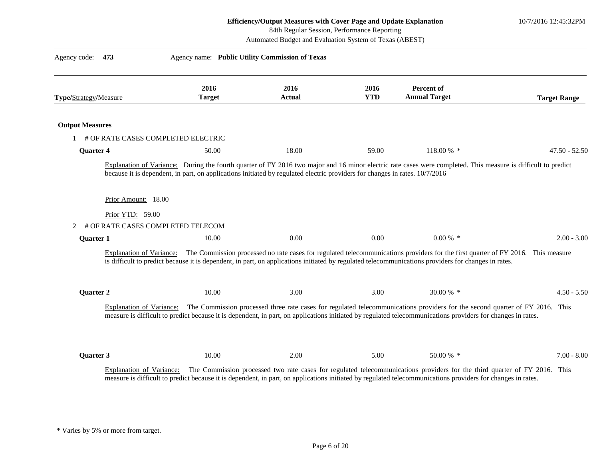10/7/2016 12:45:32PM

84th Regular Session, Performance Reporting

| Agency code:<br>473                                        | Agency name: Public Utility Commission of Texas                                                                             |                       |                    |                                                                                                                                                                                                                                                                                                                      |                     |
|------------------------------------------------------------|-----------------------------------------------------------------------------------------------------------------------------|-----------------------|--------------------|----------------------------------------------------------------------------------------------------------------------------------------------------------------------------------------------------------------------------------------------------------------------------------------------------------------------|---------------------|
| Type/Strategy/Measure                                      | 2016<br><b>Target</b>                                                                                                       | 2016<br><b>Actual</b> | 2016<br><b>YTD</b> | <b>Percent of</b><br><b>Annual Target</b>                                                                                                                                                                                                                                                                            | <b>Target Range</b> |
| <b>Output Measures</b>                                     |                                                                                                                             |                       |                    |                                                                                                                                                                                                                                                                                                                      |                     |
| # OF RATE CASES COMPLETED ELECTRIC                         |                                                                                                                             |                       |                    |                                                                                                                                                                                                                                                                                                                      |                     |
| Quarter 4                                                  | 50.00                                                                                                                       | 18.00                 | 59.00              | 118.00 % *                                                                                                                                                                                                                                                                                                           | $47.50 - 52.50$     |
| Prior Amount: 18.00                                        | because it is dependent, in part, on applications initiated by regulated electric providers for changes in rates. 10/7/2016 |                       |                    | Explanation of Variance: During the fourth quarter of FY 2016 two major and 16 minor electric rate cases were completed. This measure is difficult to predict                                                                                                                                                        |                     |
| Prior YTD: 59.00<br># OF RATE CASES COMPLETED TELECOM<br>2 |                                                                                                                             |                       |                    |                                                                                                                                                                                                                                                                                                                      |                     |
| Quarter 1                                                  | 10.00                                                                                                                       | 0.00                  | 0.00               | $0.00\%$ *                                                                                                                                                                                                                                                                                                           | $2.00 - 3.00$       |
|                                                            |                                                                                                                             |                       |                    | Explanation of Variance: The Commission processed no rate cases for regulated telecommunications providers for the first quarter of FY 2016. This measure<br>is difficult to predict because it is dependent, in part, on applications initiated by regulated telecommunications providers for changes in rates.     |                     |
| <b>Quarter 2</b>                                           | 10.00                                                                                                                       | 3.00                  | 3.00               | $30.00\%$ *                                                                                                                                                                                                                                                                                                          | $4.50 - 5.50$       |
|                                                            |                                                                                                                             |                       |                    | Explanation of Variance: The Commission processed three rate cases for regulated telecommunications providers for the second quarter of FY 2016. This<br>measure is difficult to predict because it is dependent, in part, on applications initiated by regulated telecommunications providers for changes in rates. |                     |
| Quarter 3                                                  | 10.00                                                                                                                       | 2.00                  | 5.00               | 50.00 % *                                                                                                                                                                                                                                                                                                            | $7.00 - 8.00$       |
| Explanation of Variance:                                   |                                                                                                                             |                       |                    | The Commission processed two rate cases for regulated telecommunications providers for the third quarter of FY 2016. This<br>measure is difficult to predict because it is dependent, in part, on applications initiated by regulated telecommunications providers for changes in rates.                             |                     |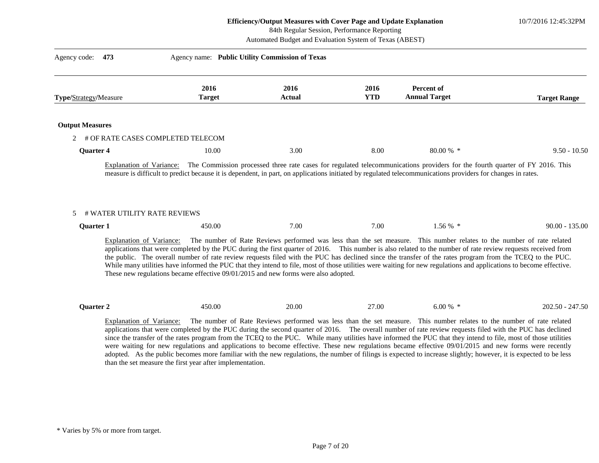10/7/2016 12:45:32PM

84th Regular Session, Performance Reporting

| Type/Strategy/Measure             | 2016<br><b>Target</b>                                                                                                                                                                                                                                                                                                                                                                                                                                                                                                                                                                  | 2016<br>Actual | 2016<br><b>YTD</b> | Percent of<br><b>Annual Target</b>                                                                                                                                                                                                                                                                                                                                                                                                              | <b>Target Range</b> |
|-----------------------------------|----------------------------------------------------------------------------------------------------------------------------------------------------------------------------------------------------------------------------------------------------------------------------------------------------------------------------------------------------------------------------------------------------------------------------------------------------------------------------------------------------------------------------------------------------------------------------------------|----------------|--------------------|-------------------------------------------------------------------------------------------------------------------------------------------------------------------------------------------------------------------------------------------------------------------------------------------------------------------------------------------------------------------------------------------------------------------------------------------------|---------------------|
| <b>Output Measures</b>            |                                                                                                                                                                                                                                                                                                                                                                                                                                                                                                                                                                                        |                |                    |                                                                                                                                                                                                                                                                                                                                                                                                                                                 |                     |
|                                   | # OF RATE CASES COMPLETED TELECOM                                                                                                                                                                                                                                                                                                                                                                                                                                                                                                                                                      |                |                    |                                                                                                                                                                                                                                                                                                                                                                                                                                                 |                     |
| <b>Ouarter 4</b>                  | 10.00                                                                                                                                                                                                                                                                                                                                                                                                                                                                                                                                                                                  | 3.00           | 8.00               | 80.00 % *                                                                                                                                                                                                                                                                                                                                                                                                                                       | $9.50 - 10.50$      |
| # WATER UTILITY RATE REVIEWS<br>5 |                                                                                                                                                                                                                                                                                                                                                                                                                                                                                                                                                                                        |                |                    |                                                                                                                                                                                                                                                                                                                                                                                                                                                 |                     |
| Quarter 1                         | 450.00                                                                                                                                                                                                                                                                                                                                                                                                                                                                                                                                                                                 | 7.00           | 7.00               | $1.56\%$ *                                                                                                                                                                                                                                                                                                                                                                                                                                      | $90.00 - 135.00$    |
| Explanation of Variance:          | applications that were completed by the PUC during the first quarter of 2016. This number is also related to the number of rate review requests received from<br>the public. The overall number of rate review requests filed with the PUC has declined since the transfer of the rates program from the TCEQ to the PUC.<br>While many utilities have informed the PUC that they intend to file, most of those utilities were waiting for new regulations and applications to become effective.<br>These new regulations became effective 09/01/2015 and new forms were also adopted. |                |                    | The number of Rate Reviews performed was less than the set measure. This number relates to the number of rate related                                                                                                                                                                                                                                                                                                                           |                     |
| Quarter 2                         | 450.00                                                                                                                                                                                                                                                                                                                                                                                                                                                                                                                                                                                 | 20.00          | 27.00              | 6.00 % $*$                                                                                                                                                                                                                                                                                                                                                                                                                                      | $202.50 - 247.50$   |
|                                   | Explanation of Variance:<br>applications that were completed by the PUC during the second quarter of 2016. The overall number of rate review requests filed with the PUC has declined                                                                                                                                                                                                                                                                                                                                                                                                  |                |                    | The number of Rate Reviews performed was less than the set measure. This number relates to the number of rate related<br>since the transfer of the rates program from the TCEQ to the PUC. While many utilities have informed the PUC that they intend to file, most of those utilities<br>were waiting for new regulations and applications to become effective. These new regulations became effective 09/01/2015 and new forms were recently |                     |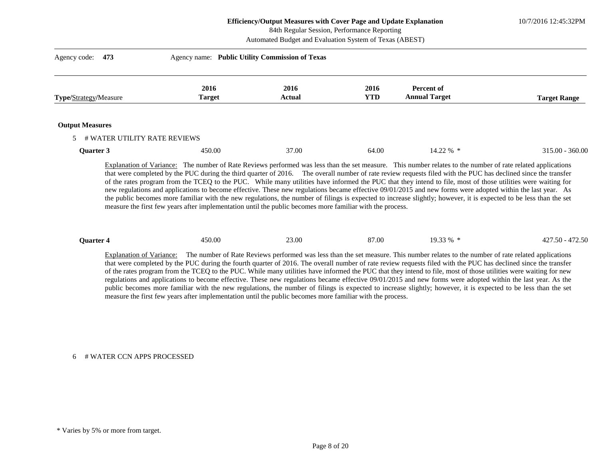10/7/2016 12:45:32PM

84th Regular Session, Performance Reporting

Automated Budget and Evaluation System of Texas (ABEST)

| Agency code: 473             | Agency name: Public Utility Commission of Texas |                       |                    |                                                                                                                                                             |                     |  |
|------------------------------|-------------------------------------------------|-----------------------|--------------------|-------------------------------------------------------------------------------------------------------------------------------------------------------------|---------------------|--|
| <b>Type/Strategy/Measure</b> | 2016<br><b>Target</b>                           | 2016<br><b>Actual</b> | 2016<br><b>YTD</b> | Percent of<br><b>Annual Target</b>                                                                                                                          | <b>Target Range</b> |  |
| <b>Output Measures</b>       |                                                 |                       |                    |                                                                                                                                                             |                     |  |
| # WATER UTILITY RATE REVIEWS |                                                 |                       |                    |                                                                                                                                                             |                     |  |
| Quarter 3                    | 450.00                                          | 37.00                 | 64.00              | $14.22 \%$ *                                                                                                                                                | $315.00 - 360.00$   |  |
|                              |                                                 |                       |                    | Explanation of Variance: The number of Rate Reviews performed was less than the set measure. This number relates to the number of rate related applications |                     |  |

ce: The number of Rate Reviews performed was less than the set measure. This number relates to the number of rate related applications that were completed by the PUC during the third quarter of 2016. The overall number of rate review requests filed with the PUC has declined since the transfer of the rates program from the TCEQ to the PUC. While many utilities have informed the PUC that they intend to file, most of those utilities were waiting for new regulations and applications to become effective. These new regulations became effective 09/01/2015 and new forms were adopted within the last year. As the public becomes more familiar with the new regulations, the number of filings is expected to increase slightly; however, it is expected to be less than the set measure the first few years after implementation until the public becomes more familiar with the process.

|  | <b>Ouarter 4</b> | 450.00 | 23.00 | 87.00 | 220 | 1.50 - 472.50<br>427 |
|--|------------------|--------|-------|-------|-----|----------------------|
|--|------------------|--------|-------|-------|-----|----------------------|

Explanation of Variance: The number of Rate Reviews performed was less than the set measure. This number relates to the number of rate related applications that were completed by the PUC during the fourth quarter of 2016. The overall number of rate review requests filed with the PUC has declined since the transfer of the rates program from the TCEQ to the PUC. While many utilities have informed the PUC that they intend to file, most of those utilities were waiting for new regulations and applications to become effective. These new regulations became effective 09/01/2015 and new forms were adopted within the last year. As the public becomes more familiar with the new regulations, the number of filings is expected to increase slightly; however, it is expected to be less than the set measure the first few years after implementation until the public becomes more familiar with the process.

6 # WATER CCN APPS PROCESSED

<sup>\*</sup> Varies by 5% or more from target.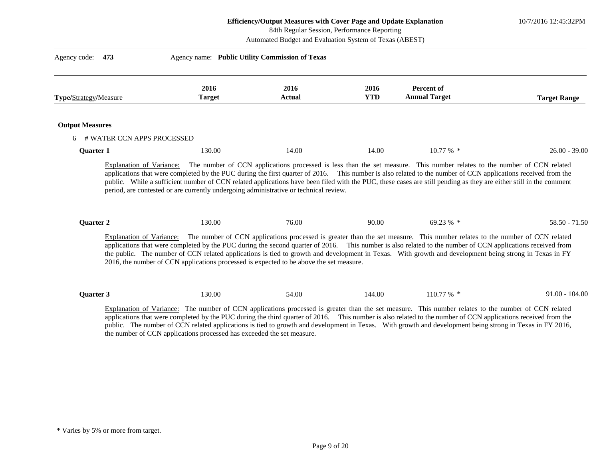10/7/2016 12:45:32PM

84th Regular Session, Performance Reporting

| Type/Strategy/Measure           | 2016<br><b>Target</b>                                                                                                                                                                                                                                      | 2016<br><b>Actual</b> | 2016<br><b>YTD</b> | Percent of<br><b>Annual Target</b>                                                                                                                                                                                                                                                                                                                                                                                                                                          | <b>Target Range</b> |
|---------------------------------|------------------------------------------------------------------------------------------------------------------------------------------------------------------------------------------------------------------------------------------------------------|-----------------------|--------------------|-----------------------------------------------------------------------------------------------------------------------------------------------------------------------------------------------------------------------------------------------------------------------------------------------------------------------------------------------------------------------------------------------------------------------------------------------------------------------------|---------------------|
| <b>Output Measures</b>          |                                                                                                                                                                                                                                                            |                       |                    |                                                                                                                                                                                                                                                                                                                                                                                                                                                                             |                     |
| # WATER CCN APPS PROCESSED<br>6 |                                                                                                                                                                                                                                                            |                       |                    |                                                                                                                                                                                                                                                                                                                                                                                                                                                                             |                     |
| <b>Quarter 1</b>                | 130.00                                                                                                                                                                                                                                                     | 14.00                 | 14.00              | $10.77 \%$ *                                                                                                                                                                                                                                                                                                                                                                                                                                                                | $26.00 - 39.00$     |
|                                 | public. While a sufficient number of CCN related applications have been filed with the PUC, these cases are still pending as they are either still in the comment<br>period, are contested or are currently undergoing administrative or technical review. |                       |                    |                                                                                                                                                                                                                                                                                                                                                                                                                                                                             |                     |
|                                 | 130.00                                                                                                                                                                                                                                                     | 76.00                 | 90.00              | 69.23 % *                                                                                                                                                                                                                                                                                                                                                                                                                                                                   |                     |
| Quarter 2                       | 2016, the number of CCN applications processed is expected to be above the set measure.                                                                                                                                                                    |                       |                    | Explanation of Variance: The number of CCN applications processed is greater than the set measure. This number relates to the number of CCN related<br>applications that were completed by the PUC during the second quarter of 2016. This number is also related to the number of CCN applications received from<br>the public. The number of CCN related applications is tied to growth and development in Texas. With growth and development being strong in Texas in FY | $58.50 - 71.50$     |

<sup>\*</sup> Varies by 5% or more from target.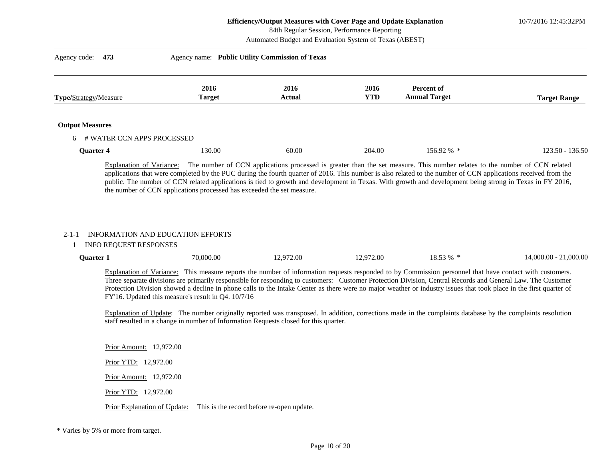10/7/2016 12:45:32PM

84th Regular Session, Performance Reporting

Automated Budget and Evaluation System of Texas (ABEST)

| 473<br>Agency code:                                        | Agency name: Public Utility Commission of Texas                        |                |                    |                                                                                                                                                                                                                                                                                                                                                                                                                                                          |                     |
|------------------------------------------------------------|------------------------------------------------------------------------|----------------|--------------------|----------------------------------------------------------------------------------------------------------------------------------------------------------------------------------------------------------------------------------------------------------------------------------------------------------------------------------------------------------------------------------------------------------------------------------------------------------|---------------------|
| <b>Type/Strategy/Measure</b>                               | 2016<br><b>Target</b>                                                  | 2016<br>Actual | 2016<br><b>YTD</b> | Percent of<br><b>Annual Target</b>                                                                                                                                                                                                                                                                                                                                                                                                                       | <b>Target Range</b> |
| <b>Output Measures</b><br># WATER CCN APPS PROCESSED<br>6. |                                                                        |                |                    |                                                                                                                                                                                                                                                                                                                                                                                                                                                          |                     |
| <b>Quarter 4</b>                                           | 130.00                                                                 | 60.00          | 204.00             | $156.92\%$ *                                                                                                                                                                                                                                                                                                                                                                                                                                             | $123.50 - 136.50$   |
| Explanation of Variance:                                   | the number of CCN applications processed has exceeded the set measure. |                |                    | The number of CCN applications processed is greater than the set measure. This number relates to the number of CCN related<br>applications that were completed by the PUC during the fourth quarter of 2016. This number is also related to the number of CCN applications received from the<br>public. The number of CCN related applications is tied to growth and development in Texas. With growth and development being strong in Texas in FY 2016, |                     |

#### 2-1-1 INFORMATION AND EDUCATION EFFORTS

1 INFO REQUEST RESPONSES

| Ouarter | 70,000.00 | <sup>2</sup> 72.00 | $\sim$ $\sim$ $\sim$<br>72.00<br>70. | $   -$<br>റ<br><br>0.33<br>70 | 1.000.00<br>0.00 <sub>1</sub><br>14.00 <sup>c</sup> |
|---------|-----------|--------------------|--------------------------------------|-------------------------------|-----------------------------------------------------|
|---------|-----------|--------------------|--------------------------------------|-------------------------------|-----------------------------------------------------|

Explanation of Variance: This measure reports the number of information requests responded to by Commission personnel that have contact with customers. Three separate divisions are primarily responsible for responding to customers: Customer Protection Division, Central Records and General Law. The Customer Protection Division showed a decline in phone calls to the Intake Center as there were no major weather or industry issues that took place in the first quarter of FY'16. Updated this measure's result in Q4. 10/7/16

Explanation of Update: The number originally reported was transposed. In addition, corrections made in the complaints database by the complaints resolution staff resulted in a change in number of Information Requests closed for this quarter.

Prior Amount: 12,972.00 Prior YTD: 12,972.00 Prior Amount: 12,972.00 Prior YTD: 12,972.00 Prior Explanation of Update: This is the record before re-open update.

\* Varies by 5% or more from target.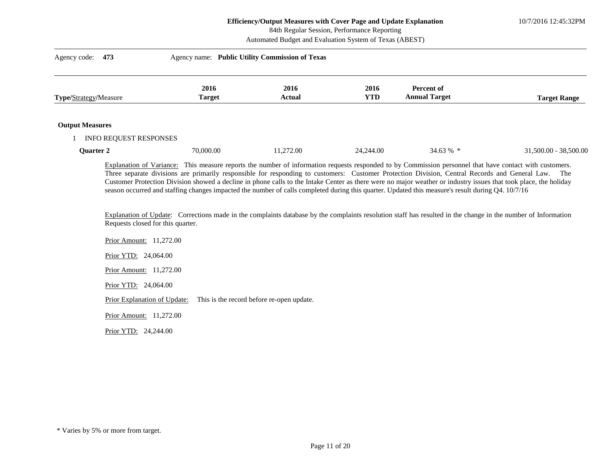10/7/2016 12:45:32PM

84th Regular Session, Performance Reporting

|                        | Automated Budget and Evaluation System of Texas (ABEST)                    |                                                                                                                                                                                                                                                                                                                                                                                                                                                                                                                                                                                                                                                                                   |                                                 |                    |                                    |                       |  |  |
|------------------------|----------------------------------------------------------------------------|-----------------------------------------------------------------------------------------------------------------------------------------------------------------------------------------------------------------------------------------------------------------------------------------------------------------------------------------------------------------------------------------------------------------------------------------------------------------------------------------------------------------------------------------------------------------------------------------------------------------------------------------------------------------------------------|-------------------------------------------------|--------------------|------------------------------------|-----------------------|--|--|
| Agency code:           | 473                                                                        |                                                                                                                                                                                                                                                                                                                                                                                                                                                                                                                                                                                                                                                                                   | Agency name: Public Utility Commission of Texas |                    |                                    |                       |  |  |
| Type/Strategy/Measure  |                                                                            | 2016<br><b>Target</b>                                                                                                                                                                                                                                                                                                                                                                                                                                                                                                                                                                                                                                                             | 2016<br><b>Actual</b>                           | 2016<br><b>YTD</b> | Percent of<br><b>Annual Target</b> | <b>Target Range</b>   |  |  |
| <b>Output Measures</b> |                                                                            |                                                                                                                                                                                                                                                                                                                                                                                                                                                                                                                                                                                                                                                                                   |                                                 |                    |                                    |                       |  |  |
|                        | <b>INFO REQUEST RESPONSES</b>                                              |                                                                                                                                                                                                                                                                                                                                                                                                                                                                                                                                                                                                                                                                                   |                                                 |                    |                                    |                       |  |  |
| Quarter 2              |                                                                            | 70,000.00                                                                                                                                                                                                                                                                                                                                                                                                                                                                                                                                                                                                                                                                         | 11,272.00                                       | 24,244.00          | 34.63 % *                          | 31,500.00 - 38,500.00 |  |  |
|                        | Prior Amount: 11,272.00<br>Prior YTD: 24,064.00<br>Prior Amount: 11,272.00 | Three separate divisions are primarily responsible for responding to customers: Customer Protection Division, Central Records and General Law. The<br>Customer Protection Division showed a decline in phone calls to the Intake Center as there were no major weather or industry issues that took place, the holiday<br>season occurred and staffing changes impacted the number of calls completed during this quarter. Updated this measure's result during Q4. 10/7/16<br>Explanation of Update: Corrections made in the complaints database by the complaints resolution staff has resulted in the change in the number of Information<br>Requests closed for this quarter. |                                                 |                    |                                    |                       |  |  |
|                        | Prior YTD: 24,064.00                                                       |                                                                                                                                                                                                                                                                                                                                                                                                                                                                                                                                                                                                                                                                                   |                                                 |                    |                                    |                       |  |  |
|                        | Prior Explanation of Update:                                               |                                                                                                                                                                                                                                                                                                                                                                                                                                                                                                                                                                                                                                                                                   | This is the record before re-open update.       |                    |                                    |                       |  |  |
|                        | Prior Amount: 11,272.00                                                    |                                                                                                                                                                                                                                                                                                                                                                                                                                                                                                                                                                                                                                                                                   |                                                 |                    |                                    |                       |  |  |
|                        | Prior YTD: 24,244.00                                                       |                                                                                                                                                                                                                                                                                                                                                                                                                                                                                                                                                                                                                                                                                   |                                                 |                    |                                    |                       |  |  |
|                        |                                                                            |                                                                                                                                                                                                                                                                                                                                                                                                                                                                                                                                                                                                                                                                                   |                                                 |                    |                                    |                       |  |  |
|                        |                                                                            |                                                                                                                                                                                                                                                                                                                                                                                                                                                                                                                                                                                                                                                                                   |                                                 |                    |                                    |                       |  |  |

<sup>\*</sup> Varies by 5% or more from target.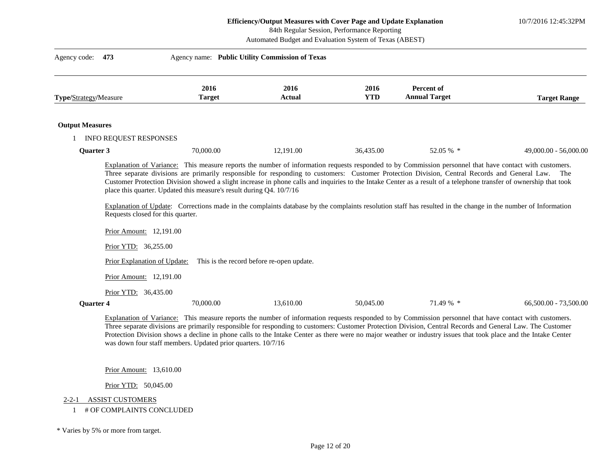10/7/2016 12:45:32PM

84th Regular Session, Performance Reporting

Automated Budget and Evaluation System of Texas (ABEST)

| Agency code:           | 473                                                                                                                                                          |                       | Agency name: Public Utility Commission of Texas |                    |                                                                                                                                                                                                                                                                                                                                     |                         |
|------------------------|--------------------------------------------------------------------------------------------------------------------------------------------------------------|-----------------------|-------------------------------------------------|--------------------|-------------------------------------------------------------------------------------------------------------------------------------------------------------------------------------------------------------------------------------------------------------------------------------------------------------------------------------|-------------------------|
| Type/Strategy/Measure  |                                                                                                                                                              | 2016<br><b>Target</b> | 2016<br><b>Actual</b>                           | 2016<br><b>YTD</b> | Percent of<br><b>Annual Target</b>                                                                                                                                                                                                                                                                                                  | <b>Target Range</b>     |
| <b>Output Measures</b> |                                                                                                                                                              |                       |                                                 |                    |                                                                                                                                                                                                                                                                                                                                     |                         |
|                        | INFO REQUEST RESPONSES                                                                                                                                       |                       |                                                 |                    |                                                                                                                                                                                                                                                                                                                                     |                         |
| Quarter 3              |                                                                                                                                                              | 70,000.00             | 12,191.00                                       | 36,435.00          | 52.05 % *                                                                                                                                                                                                                                                                                                                           | $49,000.00 - 56,000.00$ |
|                        | place this quarter. Updated this measure's result during Q4. 10/7/16<br>Requests closed for this quarter.<br>Prior Amount: 12,191.00<br>Prior YTD: 36,255.00 |                       |                                                 |                    | Customer Protection Division showed a slight increase in phone calls and inquiries to the Intake Center as a result of a telephone transfer of ownership that took<br>Explanation of Update: Corrections made in the complaints database by the complaints resolution staff has resulted in the change in the number of Information |                         |
|                        | Prior Explanation of Update:                                                                                                                                 |                       | This is the record before re-open update.       |                    |                                                                                                                                                                                                                                                                                                                                     |                         |
|                        | Prior Amount: 12,191.00                                                                                                                                      |                       |                                                 |                    |                                                                                                                                                                                                                                                                                                                                     |                         |
|                        | Prior YTD: 36,435.00                                                                                                                                         | 70,000.00             | 13,610.00                                       | 50,045.00          | 71.49 % *                                                                                                                                                                                                                                                                                                                           |                         |

Prior Amount: 13,610.00

Prior YTD: 50,045.00

#### 2-2-1 ASSIST CUSTOMERS

- 1 # OF COMPLAINTS CONCLUDED
- \* Varies by 5% or more from target.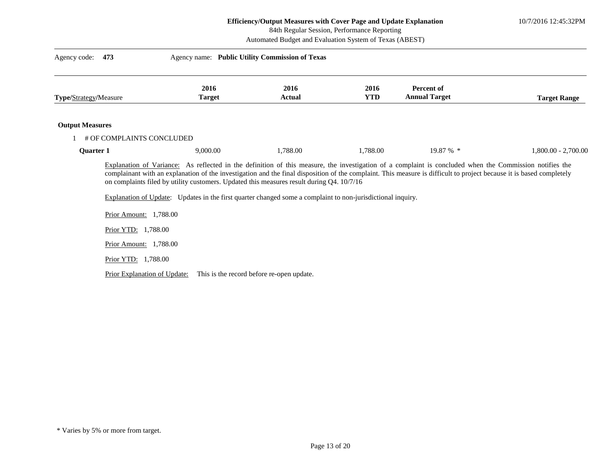10/7/2016 12:45:32PM

84th Regular Session, Performance Reporting

| Agency code:<br>473          | Agency name: Public Utility Commission of Texas                                                                                                                                                          |                                           |                    |                                                                                                                                                                                                                                                                                                                                 |                       |
|------------------------------|----------------------------------------------------------------------------------------------------------------------------------------------------------------------------------------------------------|-------------------------------------------|--------------------|---------------------------------------------------------------------------------------------------------------------------------------------------------------------------------------------------------------------------------------------------------------------------------------------------------------------------------|-----------------------|
| Type/Strategy/Measure        | 2016<br><b>Target</b>                                                                                                                                                                                    | 2016<br><b>Actual</b>                     | 2016<br><b>YTD</b> | Percent of<br><b>Annual Target</b>                                                                                                                                                                                                                                                                                              | <b>Target Range</b>   |
| <b>Output Measures</b>       |                                                                                                                                                                                                          |                                           |                    |                                                                                                                                                                                                                                                                                                                                 |                       |
| # OF COMPLAINTS CONCLUDED    |                                                                                                                                                                                                          |                                           |                    |                                                                                                                                                                                                                                                                                                                                 |                       |
| Quarter 1                    | 9,000.00                                                                                                                                                                                                 | 1,788.00                                  | 1,788.00           | 19.87 % *                                                                                                                                                                                                                                                                                                                       | $1,800.00 - 2,700.00$ |
|                              | on complaints filed by utility customers. Updated this measures result during Q4. 10/7/16<br>Explanation of Update: Updates in the first quarter changed some a complaint to non-jurisdictional inquiry. |                                           |                    | Explanation of Variance: As reflected in the definition of this measure, the investigation of a complaint is concluded when the Commission notifies the<br>complainant with an explanation of the investigation and the final disposition of the complaint. This measure is difficult to project because it is based completely |                       |
| Prior Amount: 1,788.00       |                                                                                                                                                                                                          |                                           |                    |                                                                                                                                                                                                                                                                                                                                 |                       |
| Prior YTD: 1,788.00          |                                                                                                                                                                                                          |                                           |                    |                                                                                                                                                                                                                                                                                                                                 |                       |
| Prior Amount: 1,788.00       |                                                                                                                                                                                                          |                                           |                    |                                                                                                                                                                                                                                                                                                                                 |                       |
| Prior YTD: 1,788.00          |                                                                                                                                                                                                          |                                           |                    |                                                                                                                                                                                                                                                                                                                                 |                       |
| Prior Explanation of Update: |                                                                                                                                                                                                          | This is the record before re-open update. |                    |                                                                                                                                                                                                                                                                                                                                 |                       |

<sup>\*</sup> Varies by 5% or more from target.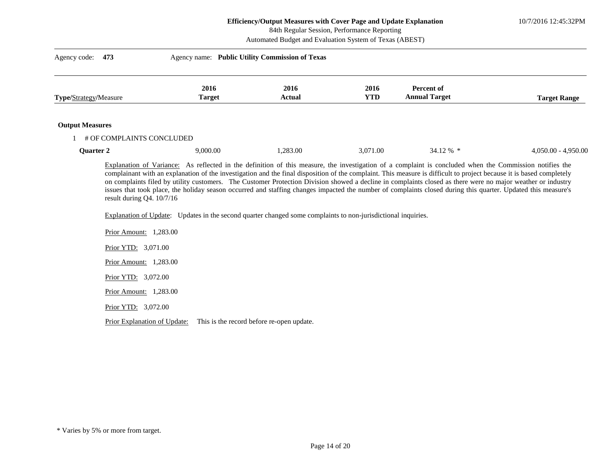10/7/2016 12:45:32PM

84th Regular Session, Performance Reporting

| Automated Budget and Evaluation System of Texas (ABEST)                                                                                                                                                      |                                                                                                               |                                           |                    |                                                                                                                                                                                                                                                                                                                                                                                                                                                                                                      |                       |  |  |  |
|--------------------------------------------------------------------------------------------------------------------------------------------------------------------------------------------------------------|---------------------------------------------------------------------------------------------------------------|-------------------------------------------|--------------------|------------------------------------------------------------------------------------------------------------------------------------------------------------------------------------------------------------------------------------------------------------------------------------------------------------------------------------------------------------------------------------------------------------------------------------------------------------------------------------------------------|-----------------------|--|--|--|
| Agency name: Public Utility Commission of Texas<br>Agency code:<br>473                                                                                                                                       |                                                                                                               |                                           |                    |                                                                                                                                                                                                                                                                                                                                                                                                                                                                                                      |                       |  |  |  |
| Type/Strategy/Measure                                                                                                                                                                                        | 2016<br><b>Target</b>                                                                                         | 2016<br><b>Actual</b>                     | 2016<br><b>YTD</b> | Percent of<br><b>Annual Target</b>                                                                                                                                                                                                                                                                                                                                                                                                                                                                   | <b>Target Range</b>   |  |  |  |
| <b>Output Measures</b>                                                                                                                                                                                       |                                                                                                               |                                           |                    |                                                                                                                                                                                                                                                                                                                                                                                                                                                                                                      |                       |  |  |  |
| 1 # OF COMPLAINTS CONCLUDED                                                                                                                                                                                  |                                                                                                               |                                           |                    |                                                                                                                                                                                                                                                                                                                                                                                                                                                                                                      |                       |  |  |  |
| Quarter 2                                                                                                                                                                                                    | 9,000.00                                                                                                      | 1,283.00                                  | 3,071.00           | 34.12 % *                                                                                                                                                                                                                                                                                                                                                                                                                                                                                            | $4,050.00 - 4,950.00$ |  |  |  |
| result during Q4. 10/7/16<br>Prior Amount: 1,283.00<br>Prior YTD: 3,071.00<br>Prior Amount: 1,283.00<br>Prior YTD: 3,072.00<br>Prior Amount: 1,283.00<br>Prior YTD: 3,072.00<br>Prior Explanation of Update: | Explanation of Update: Updates in the second quarter changed some complaints to non-jurisdictional inquiries. | This is the record before re-open update. |                    | complainant with an explanation of the investigation and the final disposition of the complaint. This measure is difficult to project because it is based completely<br>on complaints filed by utility customers. The Customer Protection Division showed a decline in complaints closed as there were no major weather or industry<br>issues that took place, the holiday season occurred and staffing changes impacted the number of complaints closed during this quarter. Updated this measure's |                       |  |  |  |

<sup>\*</sup> Varies by 5% or more from target.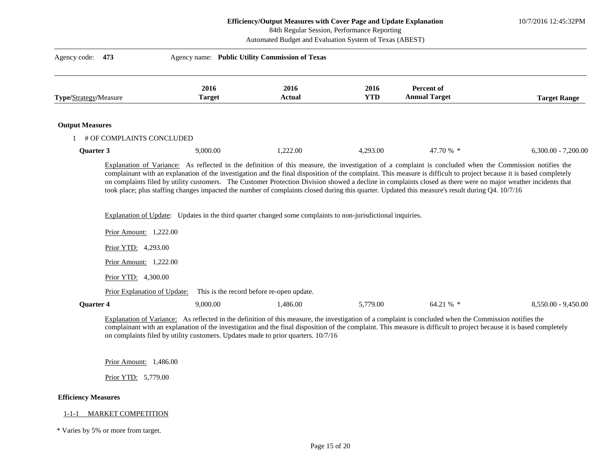10/7/2016 12:45:32PM

84th Regular Session, Performance Reporting

Automated Budget and Evaluation System of Texas (ABEST)

| Type/Strategy/Measure                                                                          | 2016<br><b>Target</b>                                                                                        | 2016<br><b>Actual</b>                     | 2016<br><b>YTD</b> | Percent of<br><b>Annual Target</b>                                                                                                                                                                                                                                                                                              | <b>Target Range</b>   |
|------------------------------------------------------------------------------------------------|--------------------------------------------------------------------------------------------------------------|-------------------------------------------|--------------------|---------------------------------------------------------------------------------------------------------------------------------------------------------------------------------------------------------------------------------------------------------------------------------------------------------------------------------|-----------------------|
|                                                                                                |                                                                                                              |                                           |                    |                                                                                                                                                                                                                                                                                                                                 |                       |
| <b>Output Measures</b>                                                                         |                                                                                                              |                                           |                    |                                                                                                                                                                                                                                                                                                                                 |                       |
| 1 # OF COMPLAINTS CONCLUDED                                                                    |                                                                                                              |                                           |                    |                                                                                                                                                                                                                                                                                                                                 |                       |
| <b>Ouarter 3</b>                                                                               | 9,000.00                                                                                                     | 1,222.00                                  | 4,293.00           | 47.70 % *                                                                                                                                                                                                                                                                                                                       | $6,300.00 - 7,200.00$ |
| Prior Amount: 1,222.00<br>Prior YTD: 4,293.00<br>Prior Amount: 1,222.00<br>Prior YTD: 4,300.00 | Explanation of Update: Updates in the third quarter changed some complaints to non-jurisdictional inquiries. |                                           |                    | took place; plus staffing changes impacted the number of complaints closed during this quarter. Updated this measure's result during Q4. 10/7/16                                                                                                                                                                                |                       |
| Prior Explanation of Update:                                                                   |                                                                                                              | This is the record before re-open update. |                    |                                                                                                                                                                                                                                                                                                                                 |                       |
| Quarter 4                                                                                      | 9,000.00                                                                                                     | 1,486.00                                  | 5,779.00           | 64.21 % *                                                                                                                                                                                                                                                                                                                       | 8,550.00 - 9,450.00   |
|                                                                                                | on complaints filed by utility customers. Updates made to prior quarters. 10/7/16                            |                                           |                    | Explanation of Variance: As reflected in the definition of this measure, the investigation of a complaint is concluded when the Commission notifies the<br>complainant with an explanation of the investigation and the final disposition of the complaint. This measure is difficult to project because it is based completely |                       |
| Prior Amount: 1,486.00                                                                         |                                                                                                              |                                           |                    |                                                                                                                                                                                                                                                                                                                                 |                       |
|                                                                                                |                                                                                                              |                                           |                    |                                                                                                                                                                                                                                                                                                                                 |                       |

## **Efficiency Measures**

### 1-1-1 MARKET COMPETITION

\* Varies by 5% or more from target.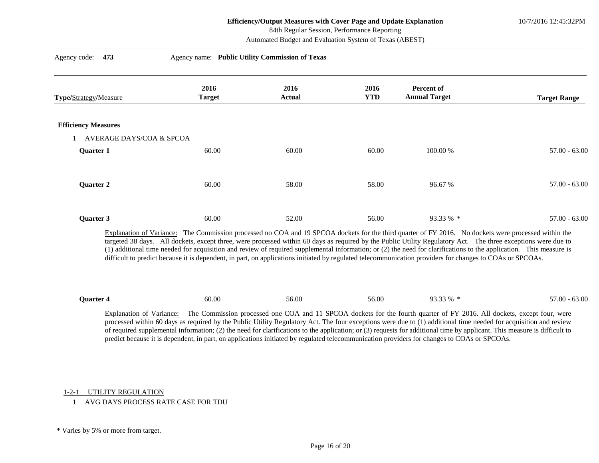10/7/2016 12:45:32PM

84th Regular Session, Performance Reporting

Automated Budget and Evaluation System of Texas (ABEST)

| Agency name: Public Utility Commission of Texas<br>Agency code:<br>473 |                                                                                                                                                                                                                                                                                                                                                                                                                                                                                                                                                                                                                                                         |                |                    |                                                                                                                         |                     |  |  |
|------------------------------------------------------------------------|---------------------------------------------------------------------------------------------------------------------------------------------------------------------------------------------------------------------------------------------------------------------------------------------------------------------------------------------------------------------------------------------------------------------------------------------------------------------------------------------------------------------------------------------------------------------------------------------------------------------------------------------------------|----------------|--------------------|-------------------------------------------------------------------------------------------------------------------------|---------------------|--|--|
| <b>Type/Strategy/Measure</b>                                           | 2016<br><b>Target</b>                                                                                                                                                                                                                                                                                                                                                                                                                                                                                                                                                                                                                                   | 2016<br>Actual | 2016<br><b>YTD</b> | Percent of<br><b>Annual Target</b>                                                                                      | <b>Target Range</b> |  |  |
| <b>Efficiency Measures</b>                                             |                                                                                                                                                                                                                                                                                                                                                                                                                                                                                                                                                                                                                                                         |                |                    |                                                                                                                         |                     |  |  |
| AVERAGE DAYS/COA & SPCOA                                               |                                                                                                                                                                                                                                                                                                                                                                                                                                                                                                                                                                                                                                                         |                |                    |                                                                                                                         |                     |  |  |
| <b>Ouarter 1</b>                                                       | 60.00                                                                                                                                                                                                                                                                                                                                                                                                                                                                                                                                                                                                                                                   | 60.00          | 60.00              | 100.00 %                                                                                                                | $57.00 - 63.00$     |  |  |
| <b>Quarter 2</b>                                                       | 60.00                                                                                                                                                                                                                                                                                                                                                                                                                                                                                                                                                                                                                                                   | 58.00          | 58.00              | 96.67 %                                                                                                                 | $57.00 - 63.00$     |  |  |
| Quarter 3                                                              | 60.00                                                                                                                                                                                                                                                                                                                                                                                                                                                                                                                                                                                                                                                   | 52.00          | 56.00              | 93.33 % *                                                                                                               | $57.00 - 63.00$     |  |  |
|                                                                        | Explanation of Variance: The Commission processed no COA and 19 SPCOA dockets for the third quarter of FY 2016. No dockets were processed within the<br>targeted 38 days. All dockets, except three, were processed within 60 days as required by the Public Utility Regulatory Act. The three exceptions were due to<br>(1) additional time needed for acquisition and review of required supplemental information; or (2) the need for clarifications to the application. This measure is<br>difficult to predict because it is dependent, in part, on applications initiated by regulated telecommunication providers for changes to COAs or SPCOAs. |                |                    |                                                                                                                         |                     |  |  |
| Quarter 4                                                              | 60.00                                                                                                                                                                                                                                                                                                                                                                                                                                                                                                                                                                                                                                                   | 56.00          | 56.00              | 93.33 % *                                                                                                               | $57.00 - 63.00$     |  |  |
| Explanation of Variance:                                               | processed within 60 days as required by the Public Utility Regulatory Act. The four exceptions were due to (1) additional time needed for acquisition and review<br>of required supplemental information; (2) the need for clarifications to the application; or (3) requests for additional time by applicant. This measure is difficult to                                                                                                                                                                                                                                                                                                            |                |                    | The Commission processed one COA and 11 SPCOA dockets for the fourth quarter of FY 2016. All dockets, except four, were |                     |  |  |

1-2-1 UTILITY REGULATION

1 AVG DAYS PROCESS RATE CASE FOR TDU

predict because it is dependent, in part, on applications initiated by regulated telecommunication providers for changes to COAs or SPCOAs.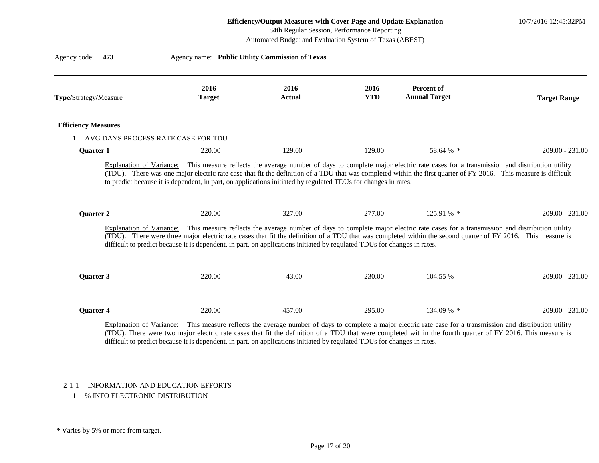10/7/2016 12:45:32PM

84th Regular Session, Performance Reporting

Automated Budget and Evaluation System of Texas (ABEST)

| 473<br>Agency code:                   | Agency name: Public Utility Commission of Texas                                                                          |                       |                    |                                                                                                                                                                                                                                                                                                                 |                     |
|---------------------------------------|--------------------------------------------------------------------------------------------------------------------------|-----------------------|--------------------|-----------------------------------------------------------------------------------------------------------------------------------------------------------------------------------------------------------------------------------------------------------------------------------------------------------------|---------------------|
| Type/Strategy/Measure                 | 2016<br><b>Target</b>                                                                                                    | 2016<br><b>Actual</b> | 2016<br><b>YTD</b> | <b>Percent of</b><br><b>Annual Target</b>                                                                                                                                                                                                                                                                       | <b>Target Range</b> |
| <b>Efficiency Measures</b>            |                                                                                                                          |                       |                    |                                                                                                                                                                                                                                                                                                                 |                     |
| AVG DAYS PROCESS RATE CASE FOR TDU    |                                                                                                                          |                       |                    |                                                                                                                                                                                                                                                                                                                 |                     |
| Quarter 1                             | 220.00                                                                                                                   | 129.00                | 129.00             | 58.64 % *                                                                                                                                                                                                                                                                                                       | $209.00 - 231.00$   |
| Quarter 2<br>Explanation of Variance: | 220.00                                                                                                                   | 327.00                | 277.00             | 125.91 % *<br>This measure reflects the average number of days to complete major electric rate cases for a transmission and distribution utility<br>(TDU). There were three major electric rate cases that fit the definition of a TDU that was completed within the second quarter of FY 2016. This measure is | $209.00 - 231.00$   |
|                                       | difficult to predict because it is dependent, in part, on applications initiated by regulated TDUs for changes in rates. |                       |                    |                                                                                                                                                                                                                                                                                                                 |                     |
| <b>Ouarter 3</b>                      | 220.00                                                                                                                   | 43.00                 | 230.00             | 104.55 %                                                                                                                                                                                                                                                                                                        | $209.00 - 231.00$   |
| Quarter 4                             | 220.00                                                                                                                   | 457.00                | 295.00             | 134.09 % *                                                                                                                                                                                                                                                                                                      | $209.00 - 231.00$   |
| Explanation of Variance:              | difficult to predict because it is dependent, in part, on applications initiated by regulated TDUs for changes in rates. |                       |                    | This measure reflects the average number of days to complete a major electric rate case for a transmission and distribution utility<br>(TDU). There were two major electric rate cases that fit the definition of a TDU that were completed within the fourth quarter of FY 2016. This measure is               |                     |

## 2-1-1 INFORMATION AND EDUCATION EFFORTS

1 % INFO ELECTRONIC DISTRIBUTION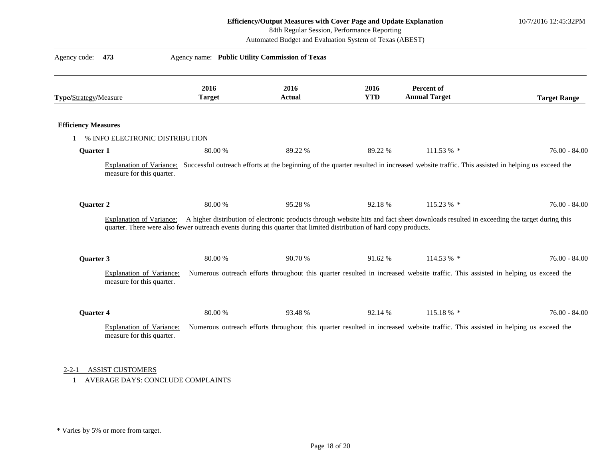10/7/2016 12:45:32PM

84th Regular Session, Performance Reporting

| Type/Strategy/Measure      |                                                       | 2016<br><b>Target</b> | 2016<br><b>Actual</b>                                                                                               | 2016<br><b>YTD</b> | Percent of<br><b>Annual Target</b>                                                                                                                                 | <b>Target Range</b> |
|----------------------------|-------------------------------------------------------|-----------------------|---------------------------------------------------------------------------------------------------------------------|--------------------|--------------------------------------------------------------------------------------------------------------------------------------------------------------------|---------------------|
| <b>Efficiency Measures</b> |                                                       |                       |                                                                                                                     |                    |                                                                                                                                                                    |                     |
|                            | % INFO ELECTRONIC DISTRIBUTION                        |                       |                                                                                                                     |                    |                                                                                                                                                                    |                     |
| Quarter 1                  |                                                       | 80.00 %               | 89.22 %                                                                                                             | 89.22 %            | 111.53 % *                                                                                                                                                         | $76.00 - 84.00$     |
|                            | measure for this quarter.                             |                       |                                                                                                                     |                    | Explanation of Variance: Successful outreach efforts at the beginning of the quarter resulted in increased website traffic. This assisted in helping us exceed the |                     |
| Quarter 2                  |                                                       | 80.00 %               | 95.28%                                                                                                              | 92.18%             | 115.23 % *                                                                                                                                                         | $76.00 - 84.00$     |
|                            |                                                       |                       | quarter. There were also fewer outreach events during this quarter that limited distribution of hard copy products. |                    | Explanation of Variance: A higher distribution of electronic products through website hits and fact sheet downloads resulted in exceeding the target during this   |                     |
| Quarter 3                  |                                                       | 80.00 %               | 90.70 %                                                                                                             | 91.62%             | 114.53 % *                                                                                                                                                         | $76.00 - 84.00$     |
|                            | Explanation of Variance:<br>measure for this quarter. |                       |                                                                                                                     |                    | Numerous outreach efforts throughout this quarter resulted in increased website traffic. This assisted in helping us exceed the                                    |                     |
| Quarter 4                  |                                                       | 80.00 %               | 93.48%                                                                                                              | 92.14 %            | 115.18 % *                                                                                                                                                         | $76.00 - 84.00$     |
|                            | Explanation of Variance:                              |                       |                                                                                                                     |                    | Numerous outreach efforts throughout this quarter resulted in increased website traffic. This assisted in helping us exceed the                                    |                     |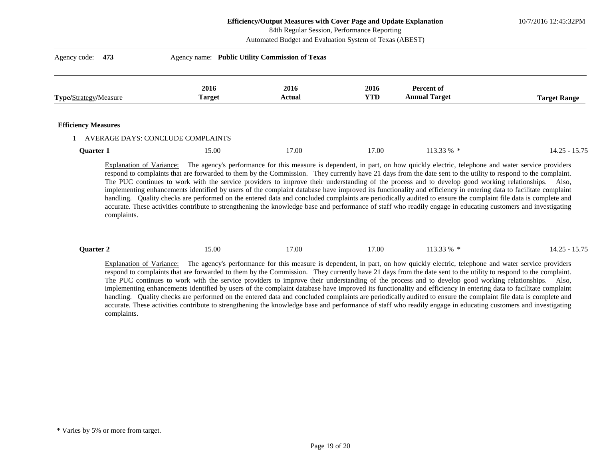10/7/2016 12:45:32PM

84th Regular Session, Performance Reporting

Automated Budget and Evaluation System of Texas (ABEST)

| Agency code: 473           | Agency name: Public Utility Commission of Texas |                       |                    |                                    |                     |  |
|----------------------------|-------------------------------------------------|-----------------------|--------------------|------------------------------------|---------------------|--|
| Type/Strategy/Measure      | 2016<br><b>Target</b>                           | 2016<br><b>Actual</b> | 2016<br><b>YTD</b> | Percent of<br><b>Annual Target</b> | <b>Target Range</b> |  |
| <b>Efficiency Measures</b> |                                                 |                       |                    |                                    |                     |  |
| <b>Quarter 1</b>           | AVERAGE DAYS: CONCLUDE COMPLAINTS<br>15.00      | 17.00                 | 17.00              | $113.33\%$ *                       | $14.25 - 15.75$     |  |

Explanation of Variance: The agency's performance for this measure is dependent, in part, on how quickly electric, telephone and water service providers respond to complaints that are forwarded to them by the Commission. They currently have 21 days from the date sent to the utility to respond to the complaint. The PUC continues to work with the service providers to improve their understanding of the process and to develop good working relationships. Also, implementing enhancements identified by users of the complaint database have improved its functionality and efficiency in entering data to facilitate complaint handling. Quality checks are performed on the entered data and concluded complaints are periodically audited to ensure the complaint file data is complete and accurate. These activities contribute to strengthening the knowledge base and performance of staff who readily engage in educating customers and investigating complaints.

| <b>Ouarter 2</b> | .5.00 | 17.00 | 7.00 | 13.33 % | 575<br>$\Lambda$ $\Omega$<br>15<br>14<br>13.IJ<br>−…… |
|------------------|-------|-------|------|---------|-------------------------------------------------------|
|                  |       |       |      |         |                                                       |

Explanation of Variance: The agency's performance for this measure is dependent, in part, on how quickly electric, telephone and water service providers respond to complaints that are forwarded to them by the Commission. They currently have 21 days from the date sent to the utility to respond to the complaint. The PUC continues to work with the service providers to improve their understanding of the process and to develop good working relationships. Also, implementing enhancements identified by users of the complaint database have improved its functionality and efficiency in entering data to facilitate complaint handling. Quality checks are performed on the entered data and concluded complaints are periodically audited to ensure the complaint file data is complete and accurate. These activities contribute to strengthening the knowledge base and performance of staff who readily engage in educating customers and investigating complaints.

<sup>\*</sup> Varies by 5% or more from target.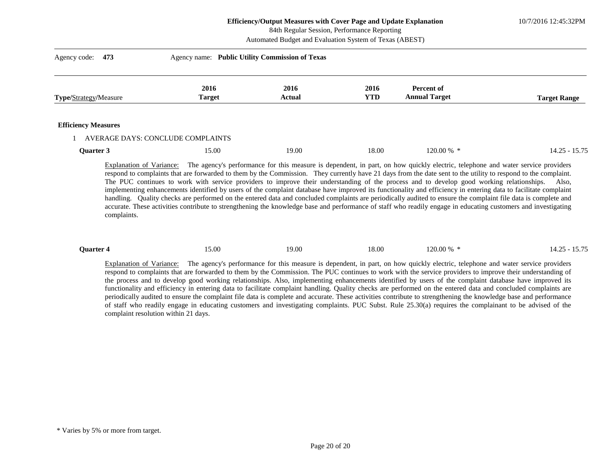10/7/2016 12:45:32PM

84th Regular Session, Performance Reporting

Automated Budget and Evaluation System of Texas (ABEST)

| Agency code: 473           | Agency name: Public Utility Commission of Texas |                |                    |                                    |                     |  |
|----------------------------|-------------------------------------------------|----------------|--------------------|------------------------------------|---------------------|--|
| Type/Strategy/Measure      | 2016<br><b>Target</b>                           | 2016<br>Actual | 2016<br><b>YTD</b> | Percent of<br><b>Annual Target</b> | <b>Target Range</b> |  |
| <b>Efficiency Measures</b> |                                                 |                |                    |                                    |                     |  |
| Quarter 3                  | AVERAGE DAYS: CONCLUDE COMPLAINTS<br>15.00      | 19.00          | 18.00              | 120.00 % *                         | $14.25 - 15.75$     |  |

Explanation of Variance: The agency's performance for this measure is dependent, in part, on how quickly electric, telephone and water service providers respond to complaints that are forwarded to them by the Commission. They currently have 21 days from the date sent to the utility to respond to the complaint. The PUC continues to work with service providers to improve their understanding of the process and to develop good working relationships. Also, implementing enhancements identified by users of the complaint database have improved its functionality and efficiency in entering data to facilitate complaint handling. Quality checks are performed on the entered data and concluded complaints are periodically audited to ensure the complaint file data is complete and accurate. These activities contribute to strengthening the knowledge base and performance of staff who readily engage in educating customers and investigating complaints.

| <b>Ouarter 4</b> | 5.00 | 19.00 | 18.00 | 120.00 % | $ -$<br>$\sim$<br>$\overline{\phantom{a}}$<br>$\overline{\phantom{a}}$<br>$\sim$<br>╹╩<br>$T^*$<br>10.IU |
|------------------|------|-------|-------|----------|----------------------------------------------------------------------------------------------------------|
|                  |      |       |       |          |                                                                                                          |

Explanation of Variance: The agency's performance for this measure is dependent, in part, on how quickly electric, telephone and water service providers respond to complaints that are forwarded to them by the Commission. The PUC continues to work with the service providers to improve their understanding of the process and to develop good working relationships. Also, implementing enhancements identified by users of the complaint database have improved its functionality and efficiency in entering data to facilitate complaint handling. Quality checks are performed on the entered data and concluded complaints are periodically audited to ensure the complaint file data is complete and accurate. These activities contribute to strengthening the knowledge base and performance of staff who readily engage in educating customers and investigating complaints. PUC Subst. Rule 25.30(a) requires the complainant to be advised of the complaint resolution within 21 days.

<sup>\*</sup> Varies by 5% or more from target.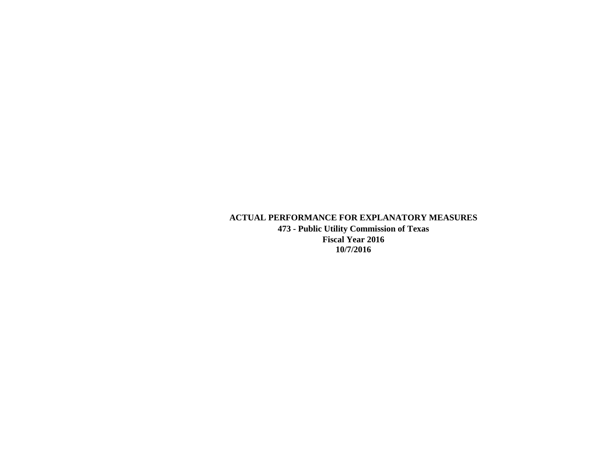# **ACTUAL PERFORMANCE FOR EXPLANATORY MEASURES**

**473 - Public Utility Commission of Texas Fiscal Year 2016 10/7/2016**